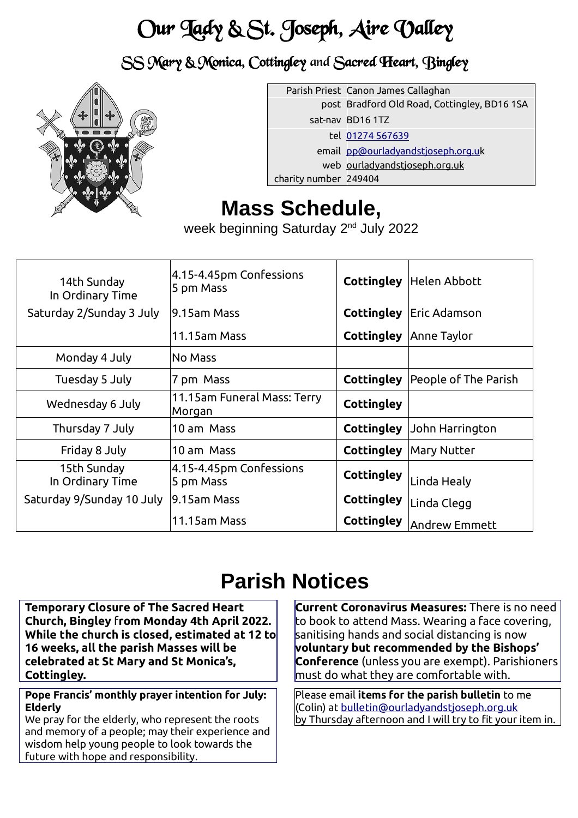# Our Lady & St. Joseph, Aire Valley

SS Mary & Monica, Cottingley and Sacred Heart, Bingley



|                       | Parish Priest Canon James Callaghan          |
|-----------------------|----------------------------------------------|
|                       | post Bradford Old Road, Cottingley, BD16 1SA |
|                       | sat-nav BD161TZ                              |
|                       | tel 01274 567639                             |
|                       | email pp@ourladyandstjoseph.org.uk           |
|                       | web ourladyandstjoseph.org.uk                |
| charity number 249404 |                                              |

## **Mass Schedule,**

week beginning Saturday 2<sup>nd</sup> July 2022

| 14th Sunday<br>In Ordinary Time | 4.15-4.45pm Confessions<br>5 pm Mass  | <b>Cottingley</b> | Helen Abbott         |
|---------------------------------|---------------------------------------|-------------------|----------------------|
| Saturday 2/Sunday 3 July        | 19.15am Mass                          | <b>Cottingley</b> | Eric Adamson         |
|                                 | 11.15am Mass                          | <b>Cottingley</b> | Anne Taylor          |
| Monday 4 July                   | No Mass                               |                   |                      |
| Tuesday 5 July                  | 7 pm Mass                             | <b>Cottingley</b> | People of The Parish |
| Wednesday 6 July                | 11.15am Funeral Mass: Terry<br>Morgan | <b>Cottingley</b> |                      |
| Thursday 7 July                 | 10 am Mass                            | <b>Cottingley</b> | John Harrington      |
| Friday 8 July                   | 10 am Mass                            | <b>Cottingley</b> | Mary Nutter          |
| 15th Sunday<br>In Ordinary Time | 4.15-4.45pm Confessions<br>5 pm Mass  | Cottingley        | Linda Healy          |
| Saturday 9/Sunday 10 July       | 19.15am Mass                          | Cottingley        | Linda Clegg          |
|                                 | 11.15am Mass                          | <b>Cottingley</b> | Andrew Emmett        |

## **Parish Notices**

**Temporary Closure of The Sacred Heart Church, Bingley** f**rom Monday 4th April 2022. While the church is closed, estimated at 12 to 16 weeks, all the parish Masses will be celebrated at St Mary and St Monica's, Cottingley.** 

**Pope Francis' monthly prayer intention for July: Elderly**

We pray for the elderly, who represent the roots and memory of a people; may their experience and wisdom help young people to look towards the future with hope and responsibility.

**Current Coronavirus Measures:** There is no need to book to attend Mass. Wearing a face covering, sanitising hands and social distancing is now **voluntary but recommended by the Bishops' Conference** (unless you are exempt). Parishioners must do what they are comfortable with.

Please email **items for the parish bulletin** to me (Colin) at bulletin@ourladyandstjoseph.org.uk by Thursday afternoon and I will try to fit your item in.